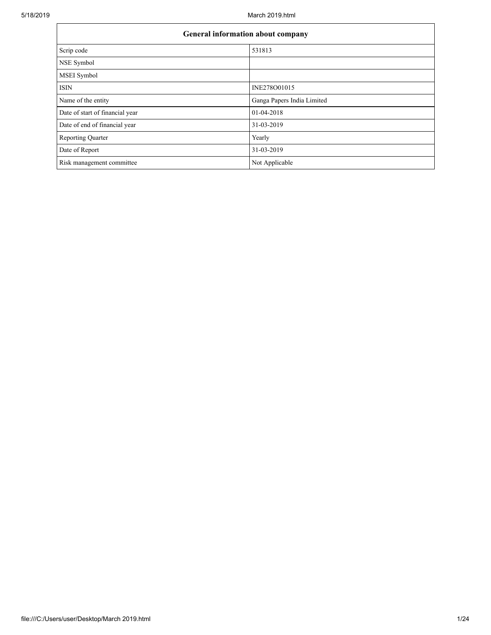| <b>General information about company</b> |                            |  |  |  |  |  |
|------------------------------------------|----------------------------|--|--|--|--|--|
| Scrip code                               | 531813                     |  |  |  |  |  |
| NSE Symbol                               |                            |  |  |  |  |  |
| <b>MSEI</b> Symbol                       |                            |  |  |  |  |  |
| <b>ISIN</b>                              | INE278O01015               |  |  |  |  |  |
| Name of the entity                       | Ganga Papers India Limited |  |  |  |  |  |
| Date of start of financial year          | 01-04-2018                 |  |  |  |  |  |
| Date of end of financial year            | 31-03-2019                 |  |  |  |  |  |
| <b>Reporting Quarter</b>                 | Yearly                     |  |  |  |  |  |
| Date of Report                           | 31-03-2019                 |  |  |  |  |  |
| Risk management committee                | Not Applicable             |  |  |  |  |  |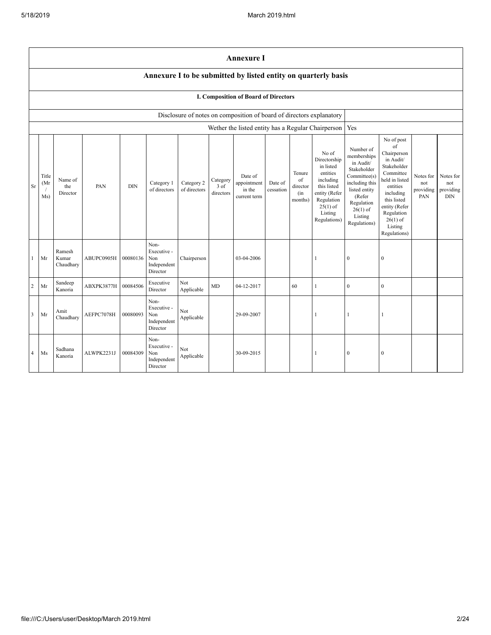|                                                                                                                                                                                                                                                                                                                                                                                                                                                                                                                                                                                                                                                                                                                                                                                                                                                                                               | <b>Annexure I</b>                                              |                              |            |          |                                                       |                   |    |                                                                      |                                             |    |                                                    |              |              |  |  |
|-----------------------------------------------------------------------------------------------------------------------------------------------------------------------------------------------------------------------------------------------------------------------------------------------------------------------------------------------------------------------------------------------------------------------------------------------------------------------------------------------------------------------------------------------------------------------------------------------------------------------------------------------------------------------------------------------------------------------------------------------------------------------------------------------------------------------------------------------------------------------------------------------|----------------------------------------------------------------|------------------------------|------------|----------|-------------------------------------------------------|-------------------|----|----------------------------------------------------------------------|---------------------------------------------|----|----------------------------------------------------|--------------|--------------|--|--|
|                                                                                                                                                                                                                                                                                                                                                                                                                                                                                                                                                                                                                                                                                                                                                                                                                                                                                               | Annexure I to be submitted by listed entity on quarterly basis |                              |            |          |                                                       |                   |    |                                                                      |                                             |    |                                                    |              |              |  |  |
|                                                                                                                                                                                                                                                                                                                                                                                                                                                                                                                                                                                                                                                                                                                                                                                                                                                                                               |                                                                |                              |            |          |                                                       |                   |    | I. Composition of Board of Directors                                 |                                             |    |                                                    |              |              |  |  |
|                                                                                                                                                                                                                                                                                                                                                                                                                                                                                                                                                                                                                                                                                                                                                                                                                                                                                               |                                                                |                              |            |          |                                                       |                   |    | Disclosure of notes on composition of board of directors explanatory |                                             |    |                                                    |              |              |  |  |
|                                                                                                                                                                                                                                                                                                                                                                                                                                                                                                                                                                                                                                                                                                                                                                                                                                                                                               |                                                                |                              |            |          |                                                       |                   |    |                                                                      |                                             |    | Wether the listed entity has a Regular Chairperson | Yes          |              |  |  |
| No of post<br>of<br>Number of<br>No of<br>Chairperson<br>memberships<br>Directorship<br>in Audit/<br>in Audit/<br>in listed<br>Stakeholder<br>Stakeholder<br>entities<br>Committee<br>Tenure<br>Committee(s)<br>Title<br>Date of<br>Notes for<br>including<br>held in listed<br>Name of<br>Category<br>of<br>including this<br>Category 2<br>appointment<br>(Mr)<br>Category 1<br>Date of<br>not<br>this listed<br>3 of<br>Sr<br>the<br>PAN<br><b>DIN</b><br>entities<br>director<br>of directors<br>of directors<br>in the<br>listed entity<br>cessation<br>providing<br>directors<br>entity (Refer<br>including<br>Director<br>(in)<br>(Refer<br>Ms)<br>current term<br>PAN<br>this listed<br>Regulation<br>months)<br>Regulation<br>$25(1)$ of<br>entity (Refer<br>$26(1)$ of<br>Listing<br>Regulation<br>Listing<br>Regulations)<br>$26(1)$ of<br>Regulations)<br>Listing<br>Regulations) |                                                                |                              |            |          |                                                       |                   |    |                                                                      | Notes for<br>not<br>providing<br><b>DIN</b> |    |                                                    |              |              |  |  |
| 1                                                                                                                                                                                                                                                                                                                                                                                                                                                                                                                                                                                                                                                                                                                                                                                                                                                                                             | Mr                                                             | Ramesh<br>Kumar<br>Chaudhary | ABUPC0905H | 00080136 | Non-<br>Executive -<br>Non<br>Independent<br>Director | Chairperson       |    | 03-04-2006                                                           |                                             |    | $\mathbf{1}$                                       | $\mathbf{0}$ | $\mathbf{0}$ |  |  |
| $\overline{2}$                                                                                                                                                                                                                                                                                                                                                                                                                                                                                                                                                                                                                                                                                                                                                                                                                                                                                | Mr                                                             | Sandeep<br>Kanoria           | ABXPK3877H | 00084506 | Executive<br>Director                                 | Not<br>Applicable | MD | 04-12-2017                                                           |                                             | 60 | 1                                                  | $\mathbf{0}$ | $\mathbf{0}$ |  |  |
| 3                                                                                                                                                                                                                                                                                                                                                                                                                                                                                                                                                                                                                                                                                                                                                                                                                                                                                             | Mr                                                             | Amit<br>Chaudhary            | AEFPC7078H | 00080093 | Non-<br>Executive -<br>Non<br>Independent<br>Director | Not<br>Applicable |    | 29-09-2007                                                           |                                             |    | 1                                                  | 1            | 1            |  |  |
| 4                                                                                                                                                                                                                                                                                                                                                                                                                                                                                                                                                                                                                                                                                                                                                                                                                                                                                             | Ms                                                             | Sadhana<br>Kanoria           | ALWPK2231J | 00084309 | Non-<br>Executive -<br>Non<br>Independent<br>Director | Not<br>Applicable |    | 30-09-2015                                                           |                                             |    | 1                                                  | $\mathbf{0}$ | $\mathbf{0}$ |  |  |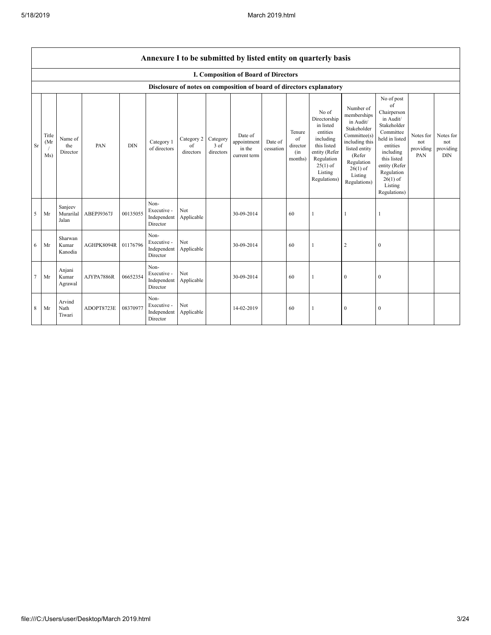÷

|           | Annexure I to be submitted by listed entity on quarterly basis |                               |            |            |                                                           |                                        |                   |                                                  |                      |                                            |                                                                                                                                                    |                                                                                                                                                                          |                                                                                                                                                                                                            |                                      |                                      |
|-----------|----------------------------------------------------------------|-------------------------------|------------|------------|-----------------------------------------------------------|----------------------------------------|-------------------|--------------------------------------------------|----------------------|--------------------------------------------|----------------------------------------------------------------------------------------------------------------------------------------------------|--------------------------------------------------------------------------------------------------------------------------------------------------------------------------|------------------------------------------------------------------------------------------------------------------------------------------------------------------------------------------------------------|--------------------------------------|--------------------------------------|
|           |                                                                |                               |            |            |                                                           |                                        |                   | I. Composition of Board of Directors             |                      |                                            |                                                                                                                                                    |                                                                                                                                                                          |                                                                                                                                                                                                            |                                      |                                      |
|           |                                                                |                               |            |            |                                                           |                                        |                   |                                                  |                      |                                            | Disclosure of notes on composition of board of directors explanatory                                                                               |                                                                                                                                                                          |                                                                                                                                                                                                            |                                      |                                      |
| <b>Sr</b> | Title<br>(Mr)<br>Ms)                                           | Name of<br>the<br>Director    | PAN        | <b>DIN</b> | Category 1<br>of directors                                | Category 2 Category<br>of<br>directors | 3 of<br>directors | Date of<br>appointment<br>in the<br>current term | Date of<br>cessation | Tenure<br>of<br>director<br>(in<br>months) | No of<br>Directorship<br>in listed<br>entities<br>including<br>this listed<br>entity (Refer<br>Regulation<br>$25(1)$ of<br>Listing<br>Regulations) | Number of<br>memberships<br>in Audit/<br>Stakeholder<br>Committee(s)<br>including this<br>listed entity<br>(Refer<br>Regulation<br>$26(1)$ of<br>Listing<br>Regulations) | No of post<br>of<br>Chairperson<br>in Audit/<br>Stakeholder<br>Committee<br>held in listed<br>entities<br>including<br>this listed<br>entity (Refer<br>Regulation<br>$26(1)$ of<br>Listing<br>Regulations) | Notes for<br>not<br>providing<br>PAN | Notes for<br>not<br>providing<br>DIN |
| 5         | Mr                                                             | Sanjeev<br>Murarilal<br>Jalan | ABEPJ9367J | 00135055   | Non-<br>Executive -<br>Independent<br>Director            | Not<br>Applicable                      |                   | 30-09-2014                                       |                      | 60                                         |                                                                                                                                                    |                                                                                                                                                                          |                                                                                                                                                                                                            |                                      |                                      |
| -6        | Mr                                                             | Sharwan<br>Kumar<br>Kanodia   | AGHPK8094R | 01176796   | Non-<br>Executive -<br>Independent Applicable<br>Director | Not                                    |                   | 30-09-2014                                       |                      | 60                                         | 1                                                                                                                                                  | $\overline{2}$                                                                                                                                                           | $\mathbf{0}$                                                                                                                                                                                               |                                      |                                      |
| $\tau$    | Mr                                                             | Anjani<br>Kumar<br>Agrawal    | AJYPA7886R | 06652354   | Non-<br>Executive -<br>Independent Applicable<br>Director | Not                                    |                   | 30-09-2014                                       |                      | 60                                         | 1                                                                                                                                                  | $\boldsymbol{0}$                                                                                                                                                         | $\mathbf{0}$                                                                                                                                                                                               |                                      |                                      |
| 8         | Mr                                                             | Arvind<br>Nath<br>Tiwari      | ADOPT8723E | 08370977   | Non-<br>Executive -<br>Independent<br>Director            | Not<br>Applicable                      |                   | 14-02-2019                                       |                      | 60                                         | 1                                                                                                                                                  | $\boldsymbol{0}$                                                                                                                                                         | $\mathbf{0}$                                                                                                                                                                                               |                                      |                                      |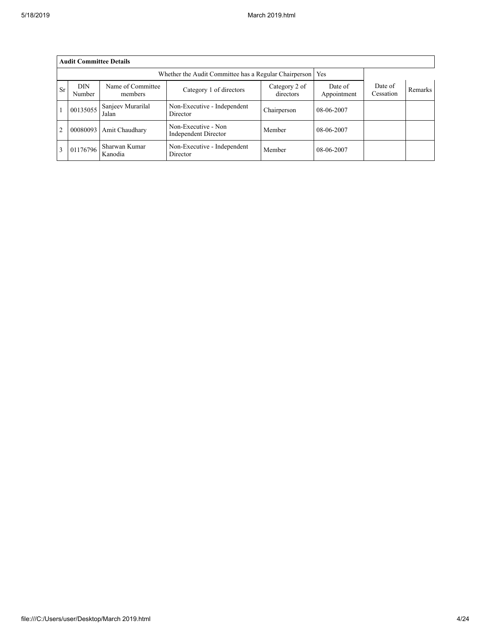|                | <b>Audit Committee Details</b> |                                                              |                                                    |                            |                        |                      |                |  |  |
|----------------|--------------------------------|--------------------------------------------------------------|----------------------------------------------------|----------------------------|------------------------|----------------------|----------------|--|--|
|                |                                | Whether the Audit Committee has a Regular Chairperson<br>Yes |                                                    |                            |                        |                      |                |  |  |
| <b>Sr</b>      | <b>DIN</b><br>Number           | Name of Committee<br>members                                 | Category 1 of directors                            | Category 2 of<br>directors | Date of<br>Appointment | Date of<br>Cessation | <b>Remarks</b> |  |  |
|                | 00135055                       | Sanjeev Murarilal<br>Jalan                                   | Non-Executive - Independent<br>Director            | Chairperson                | 08-06-2007             |                      |                |  |  |
| $\overline{2}$ | 00080093                       | Amit Chaudhary                                               | Non-Executive - Non<br><b>Independent Director</b> | Member                     | 08-06-2007             |                      |                |  |  |
| 3              | 01176796                       | Sharwan Kumar<br>Kanodia                                     | Non-Executive - Independent<br>Director            | Member                     | 08-06-2007             |                      |                |  |  |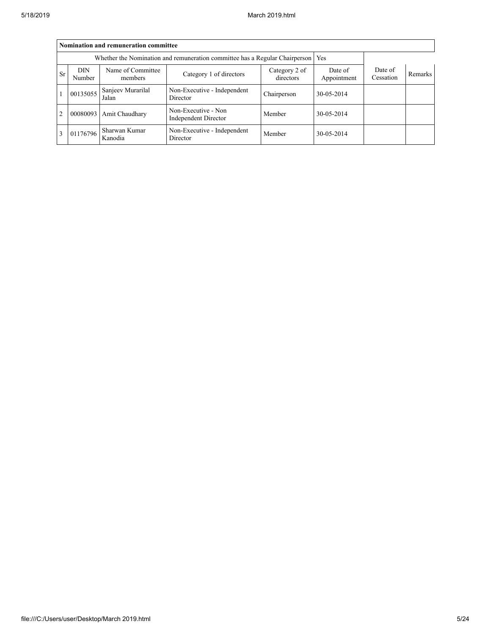|                | Nomination and remuneration committee                                       |                            |                                                    |             |            |  |  |  |  |
|----------------|-----------------------------------------------------------------------------|----------------------------|----------------------------------------------------|-------------|------------|--|--|--|--|
|                | Whether the Nomination and remuneration committee has a Regular Chairperson |                            |                                                    |             |            |  |  |  |  |
| <b>Sr</b>      | <b>DIN</b><br>Number                                                        | Date of<br>Cessation       | Remarks                                            |             |            |  |  |  |  |
|                | 00135055                                                                    | Sanjeev Murarilal<br>Jalan | Non-Executive - Independent<br>Director            | Chairperson | 30-05-2014 |  |  |  |  |
| $\overline{2}$ | 00080093                                                                    | Amit Chaudhary             | Non-Executive - Non<br><b>Independent Director</b> | Member      | 30-05-2014 |  |  |  |  |
| $\overline{3}$ | 01176796                                                                    | Sharwan Kumar<br>Kanodia   | Non-Executive - Independent<br>Director            | Member      | 30-05-2014 |  |  |  |  |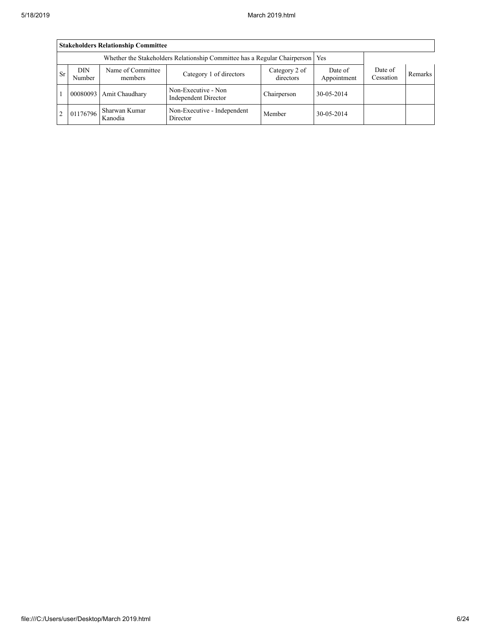|               | <b>Stakeholders Relationship Committee</b> |                                                                                 |                                             |                            |                        |                      |                |  |  |
|---------------|--------------------------------------------|---------------------------------------------------------------------------------|---------------------------------------------|----------------------------|------------------------|----------------------|----------------|--|--|
|               |                                            | Whether the Stakeholders Relationship Committee has a Regular Chairperson   Yes |                                             |                            |                        |                      |                |  |  |
| <b>Sr</b>     | <b>DIN</b><br>Number                       | Name of Committee<br>members                                                    | Category 1 of directors                     | Category 2 of<br>directors | Date of<br>Appointment | Date of<br>Cessation | <b>Remarks</b> |  |  |
|               |                                            | 00080093   Amit Chaudhary                                                       | Non-Executive - Non<br>Independent Director | Chairperson                | 30-05-2014             |                      |                |  |  |
| $\mathcal{D}$ | 01176796                                   | Sharwan Kumar<br>Kanodia                                                        | Non-Executive - Independent<br>Director     | Member                     | 30-05-2014             |                      |                |  |  |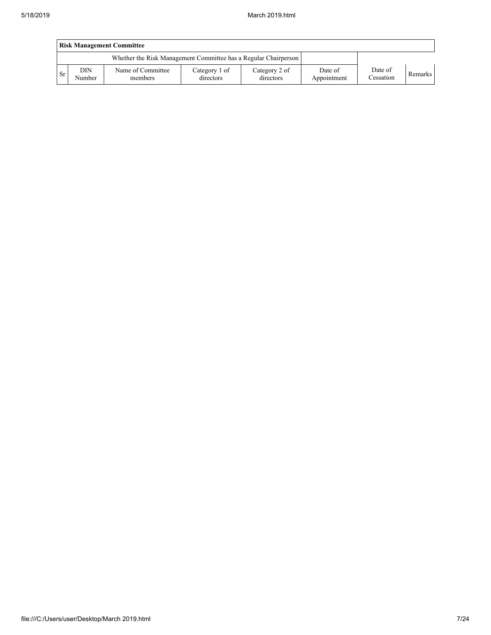|     | <b>Risk Management Committee</b> |                                                                 |                            |                            |                        |                      |         |  |  |
|-----|----------------------------------|-----------------------------------------------------------------|----------------------------|----------------------------|------------------------|----------------------|---------|--|--|
|     |                                  | Whether the Risk Management Committee has a Regular Chairperson |                            |                            |                        |                      |         |  |  |
| Sr. | DIN<br>Number                    | Name of Committee<br>members                                    | Category 1 of<br>directors | Category 2 of<br>directors | Date of<br>Appointment | Date of<br>Cessation | Remarks |  |  |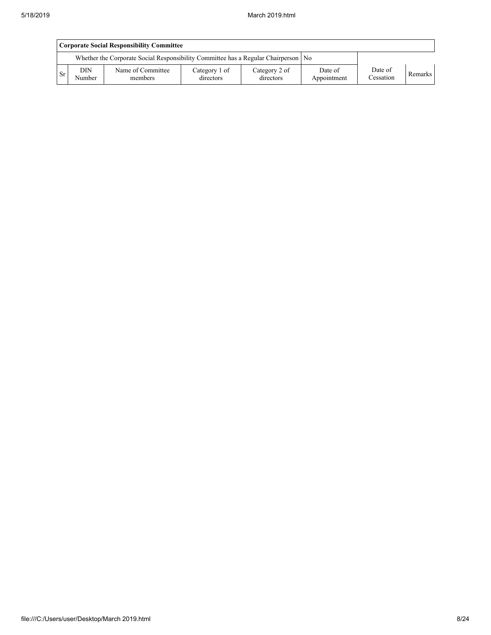|           | Corporate Social Responsibility Committee |                                                                                      |                            |                            |                        |                      |         |  |  |
|-----------|-------------------------------------------|--------------------------------------------------------------------------------------|----------------------------|----------------------------|------------------------|----------------------|---------|--|--|
|           |                                           | Whether the Corporate Social Responsibility Committee has a Regular Chairperson   No |                            |                            |                        |                      |         |  |  |
| <b>Sr</b> | <b>DIN</b><br>Number                      | Name of Committee<br>members                                                         | Category 1 of<br>directors | Category 2 of<br>directors | Date of<br>Appointment | Date of<br>Cessation | Remarks |  |  |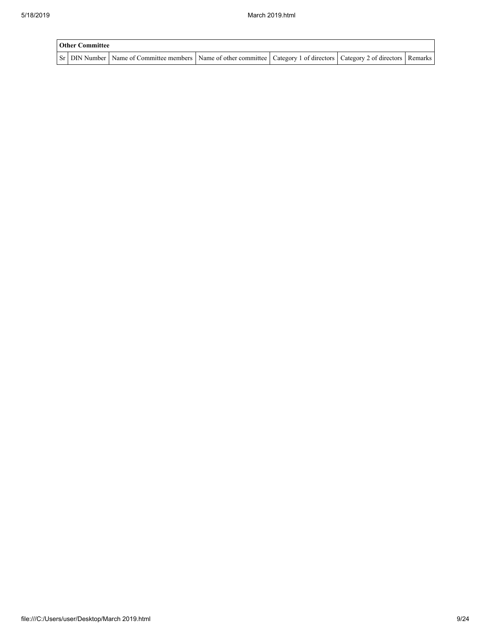| <b>Other Committee</b> |                                                                                                                                     |  |  |
|------------------------|-------------------------------------------------------------------------------------------------------------------------------------|--|--|
|                        | Sr   DIN Number   Name of Committee members   Name of other committee   Category 1 of directors   Category 2 of directors   Remarks |  |  |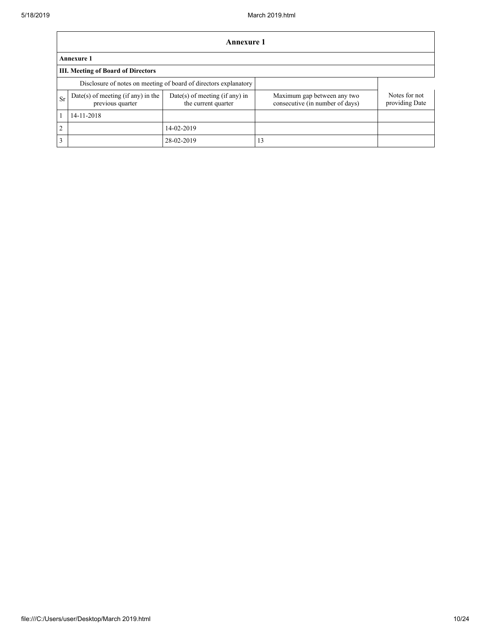|               | Annexure 1                                                       |                                                         |                                                                |                                 |  |  |  |  |  |
|---------------|------------------------------------------------------------------|---------------------------------------------------------|----------------------------------------------------------------|---------------------------------|--|--|--|--|--|
|               | <b>Annexure 1</b>                                                |                                                         |                                                                |                                 |  |  |  |  |  |
|               | <b>III. Meeting of Board of Directors</b>                        |                                                         |                                                                |                                 |  |  |  |  |  |
|               | Disclosure of notes on meeting of board of directors explanatory |                                                         |                                                                |                                 |  |  |  |  |  |
| Sr            | Date(s) of meeting (if any) in the<br>previous quarter           | $Date(s)$ of meeting (if any) in<br>the current quarter | Maximum gap between any two<br>consecutive (in number of days) | Notes for not<br>providing Date |  |  |  |  |  |
|               | 14-11-2018                                                       |                                                         |                                                                |                                 |  |  |  |  |  |
| $\mathcal{D}$ |                                                                  | 14-02-2019                                              |                                                                |                                 |  |  |  |  |  |
| 3             |                                                                  | 28-02-2019                                              | 13                                                             |                                 |  |  |  |  |  |

٦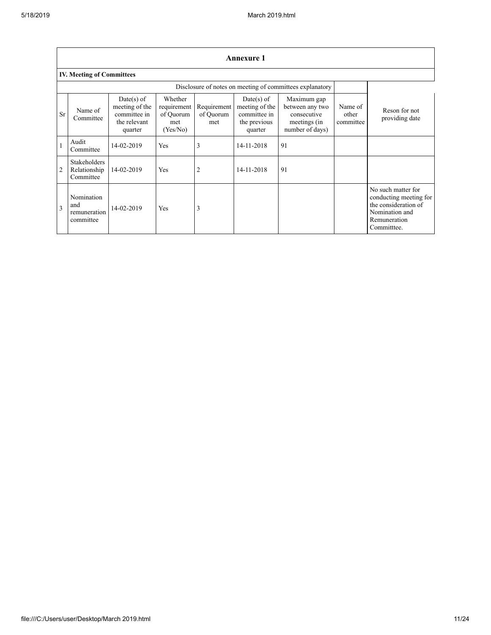|              | <b>Annexure 1</b>                                |                                                                         |                                                        |                                 |                                                                         |                                                                                  |                               |                                                                                                                      |
|--------------|--------------------------------------------------|-------------------------------------------------------------------------|--------------------------------------------------------|---------------------------------|-------------------------------------------------------------------------|----------------------------------------------------------------------------------|-------------------------------|----------------------------------------------------------------------------------------------------------------------|
|              | <b>IV. Meeting of Committees</b>                 |                                                                         |                                                        |                                 |                                                                         |                                                                                  |                               |                                                                                                                      |
|              |                                                  |                                                                         |                                                        |                                 |                                                                         | Disclosure of notes on meeting of committees explanatory                         |                               |                                                                                                                      |
| <b>Sr</b>    | Name of<br>Committee                             | Date(s) of<br>meeting of the<br>committee in<br>the relevant<br>quarter | Whether<br>requirement<br>of Quorum<br>met<br>(Yes/No) | Requirement<br>of Quorum<br>met | Date(s) of<br>meeting of the<br>committee in<br>the previous<br>quarter | Maximum gap<br>between any two<br>consecutive<br>meetings (in<br>number of days) | Name of<br>other<br>committee | Reson for not<br>providing date                                                                                      |
|              | Audit<br>Committee                               | 14-02-2019                                                              | Yes                                                    | 3                               | 14-11-2018                                                              | 91                                                                               |                               |                                                                                                                      |
| 2            | <b>Stakeholders</b><br>Relationship<br>Committee | 14-02-2019                                                              | Yes                                                    | 2                               | 14-11-2018                                                              | 91                                                                               |                               |                                                                                                                      |
| $\mathbf{3}$ | Nomination<br>and<br>remuneration<br>committee   | 14-02-2019                                                              | Yes                                                    | 3                               |                                                                         |                                                                                  |                               | No such matter for<br>conducting meeting for<br>the consideration of<br>Nomination and<br>Remuneration<br>Committee. |

٦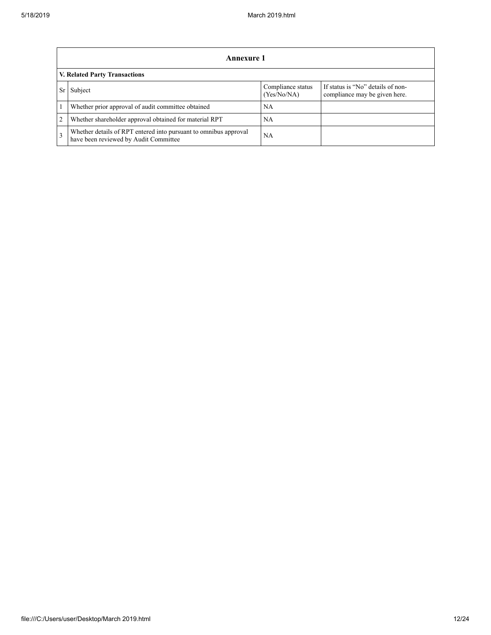|               | Annexure 1                                                                                                |                                  |                                                                    |  |  |  |  |  |
|---------------|-----------------------------------------------------------------------------------------------------------|----------------------------------|--------------------------------------------------------------------|--|--|--|--|--|
|               | <b>V. Related Party Transactions</b>                                                                      |                                  |                                                                    |  |  |  |  |  |
|               | Subject                                                                                                   | Compliance status<br>(Yes/No/NA) | If status is "No" details of non-<br>compliance may be given here. |  |  |  |  |  |
|               | Whether prior approval of audit committee obtained                                                        | NΑ                               |                                                                    |  |  |  |  |  |
| 2             | Whether shareholder approval obtained for material RPT                                                    | NΑ                               |                                                                    |  |  |  |  |  |
| $\mathcal{E}$ | Whether details of RPT entered into pursuant to omnibus approval<br>have been reviewed by Audit Committee | <b>NA</b>                        |                                                                    |  |  |  |  |  |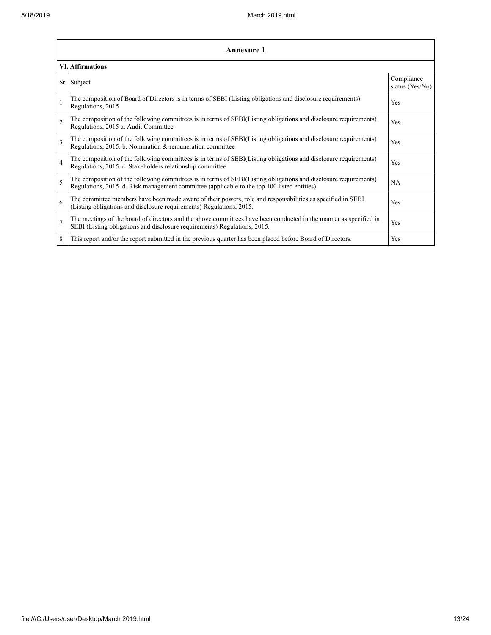|                | <b>Annexure 1</b>                                                                                                                                                                                               |                               |  |  |  |
|----------------|-----------------------------------------------------------------------------------------------------------------------------------------------------------------------------------------------------------------|-------------------------------|--|--|--|
|                | <b>VI.</b> Affirmations                                                                                                                                                                                         |                               |  |  |  |
| Sr             | Subject                                                                                                                                                                                                         | Compliance<br>status (Yes/No) |  |  |  |
| $\mathbf{1}$   | The composition of Board of Directors is in terms of SEBI (Listing obligations and disclosure requirements)<br>Regulations, 2015                                                                                | Yes                           |  |  |  |
| $\overline{2}$ | The composition of the following committees is in terms of SEBI(Listing obligations and disclosure requirements)<br>Regulations, 2015 a. Audit Committee                                                        | Yes                           |  |  |  |
| $\overline{3}$ | The composition of the following committees is in terms of SEBI(Listing obligations and disclosure requirements)<br>Regulations, 2015. b. Nomination & remuneration committee                                   | Yes                           |  |  |  |
| $\overline{4}$ | The composition of the following committees is in terms of SEBI(Listing obligations and disclosure requirements)<br>Regulations, 2015. c. Stakeholders relationship committee                                   | Yes                           |  |  |  |
| 5              | The composition of the following committees is in terms of SEBI(Listing obligations and disclosure requirements)<br>Regulations, 2015. d. Risk management committee (applicable to the top 100 listed entities) | <b>NA</b>                     |  |  |  |
| 6              | The committee members have been made aware of their powers, role and responsibilities as specified in SEBI<br>(Listing obligations and disclosure requirements) Regulations, 2015.                              | Yes                           |  |  |  |
| $\overline{7}$ | The meetings of the board of directors and the above committees have been conducted in the manner as specified in<br>SEBI (Listing obligations and disclosure requirements) Regulations, 2015.                  | Yes                           |  |  |  |
| 8              | This report and/or the report submitted in the previous quarter has been placed before Board of Directors.                                                                                                      | Yes                           |  |  |  |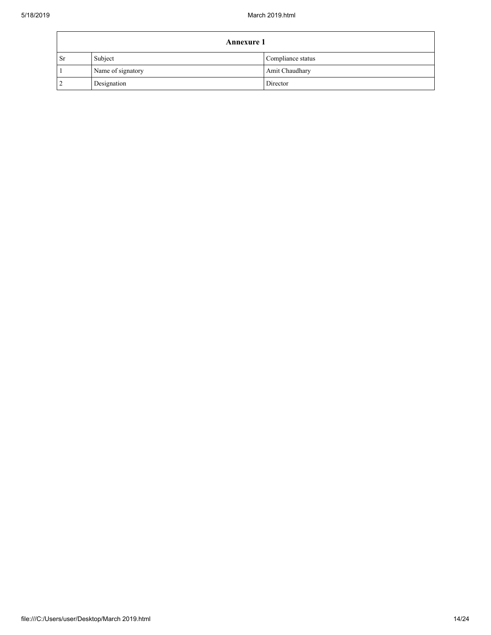|           | <b>Annexure 1</b> |                   |  |
|-----------|-------------------|-------------------|--|
| <b>Sr</b> | Subject           | Compliance status |  |
|           | Name of signatory | Amit Chaudhary    |  |
|           | Designation       | Director          |  |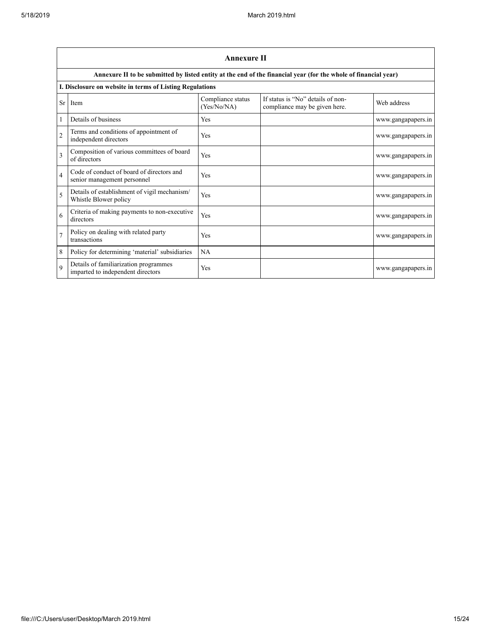|                | <b>Annexure II</b>                                                         |                                  |                                                                                                                 |                    |  |
|----------------|----------------------------------------------------------------------------|----------------------------------|-----------------------------------------------------------------------------------------------------------------|--------------------|--|
|                |                                                                            |                                  | Annexure II to be submitted by listed entity at the end of the financial year (for the whole of financial year) |                    |  |
|                | I. Disclosure on website in terms of Listing Regulations                   |                                  |                                                                                                                 |                    |  |
| Sr             | Item                                                                       | Compliance status<br>(Yes/No/NA) | If status is "No" details of non-<br>compliance may be given here.                                              | Web address        |  |
| 1              | Details of business                                                        | Yes                              |                                                                                                                 | www.gangapapers.in |  |
| $\overline{2}$ | Terms and conditions of appointment of<br>independent directors            | Yes                              |                                                                                                                 | www.gangapapers.in |  |
| 3              | Composition of various committees of board<br>of directors                 | Yes                              |                                                                                                                 | www.gangapapers.in |  |
| $\overline{4}$ | Code of conduct of board of directors and<br>senior management personnel   | Yes                              |                                                                                                                 | www.gangapapers.in |  |
| 5              | Details of establishment of vigil mechanism/<br>Whistle Blower policy      | Yes                              |                                                                                                                 | www.gangapapers.in |  |
| 6              | Criteria of making payments to non-executive<br>directors                  | Yes                              |                                                                                                                 | www.gangapapers.in |  |
| $\overline{7}$ | Policy on dealing with related party<br>transactions                       | Yes                              |                                                                                                                 | www.gangapapers.in |  |
| 8              | Policy for determining 'material' subsidiaries                             | NA                               |                                                                                                                 |                    |  |
| $\mathbf Q$    | Details of familiarization programmes<br>imparted to independent directors | Yes                              |                                                                                                                 | www.gangapapers.in |  |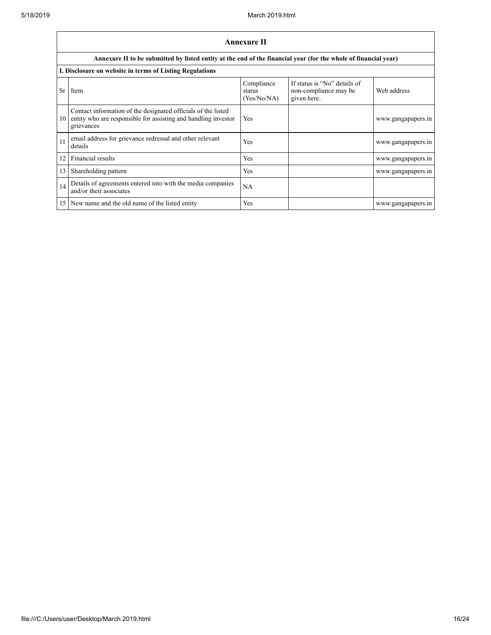|                 | <b>Annexure II</b>                                                                                                                            |                                     |                                                                      |                    |  |
|-----------------|-----------------------------------------------------------------------------------------------------------------------------------------------|-------------------------------------|----------------------------------------------------------------------|--------------------|--|
|                 | Annexure II to be submitted by listed entity at the end of the financial year (for the whole of financial year)                               |                                     |                                                                      |                    |  |
|                 | I. Disclosure on website in terms of Listing Regulations                                                                                      |                                     |                                                                      |                    |  |
| <b>Sr</b>       | Item                                                                                                                                          | Compliance<br>status<br>(Yes/No/NA) | If status is "No" details of<br>non-compliance may be<br>given here. | Web address        |  |
| 10              | Contact information of the designated officials of the listed<br>entity who are responsible for assisting and handling investor<br>grievances | Yes                                 |                                                                      | www.gangapapers.in |  |
| 11              | email address for grievance redressal and other relevant<br>details                                                                           | Yes                                 |                                                                      | www.gangapapers.in |  |
| 12              | Financial results                                                                                                                             | Yes                                 |                                                                      | www.gangapapers.in |  |
| 13              | Shareholding pattern                                                                                                                          | Yes                                 |                                                                      | www.gangapapers.in |  |
| 14              | Details of agreements entered into with the media companies<br>and/or their associates                                                        | NA                                  |                                                                      |                    |  |
| 15 <sup>1</sup> | New name and the old name of the listed entity                                                                                                | Yes                                 |                                                                      | www.gangapapers.in |  |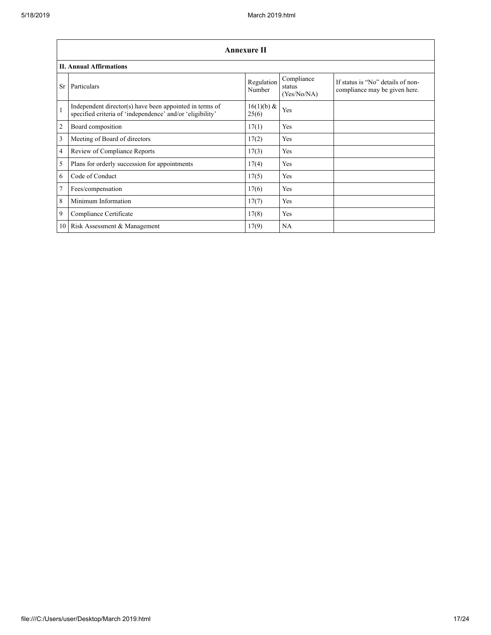|                | Annexure II                                                                                                          |                      |                                     |                                                                    |  |
|----------------|----------------------------------------------------------------------------------------------------------------------|----------------------|-------------------------------------|--------------------------------------------------------------------|--|
|                | <b>II. Annual Affirmations</b>                                                                                       |                      |                                     |                                                                    |  |
| <b>Sr</b>      | Particulars                                                                                                          | Regulation<br>Number | Compliance<br>status<br>(Yes/No/NA) | If status is "No" details of non-<br>compliance may be given here. |  |
| $\mathbf{1}$   | Independent director(s) have been appointed in terms of<br>specified criteria of 'independence' and/or 'eligibility' | 16(1)(b) &<br>25(6)  | Yes                                 |                                                                    |  |
| $\overline{2}$ | Board composition                                                                                                    | 17(1)                | Yes                                 |                                                                    |  |
| 3              | Meeting of Board of directors                                                                                        | 17(2)                | Yes                                 |                                                                    |  |
| $\overline{4}$ | Review of Compliance Reports                                                                                         | 17(3)                | Yes                                 |                                                                    |  |
| 5              | Plans for orderly succession for appointments                                                                        | 17(4)                | Yes                                 |                                                                    |  |
| 6              | Code of Conduct                                                                                                      | 17(5)                | Yes                                 |                                                                    |  |
| $\overline{7}$ | Fees/compensation                                                                                                    | 17(6)                | Yes                                 |                                                                    |  |
| 8              | Minimum Information                                                                                                  | 17(7)                | Yes                                 |                                                                    |  |
| 9              | Compliance Certificate                                                                                               | 17(8)                | Yes                                 |                                                                    |  |
|                | 10 Risk Assessment & Management                                                                                      | 17(9)                | NA                                  |                                                                    |  |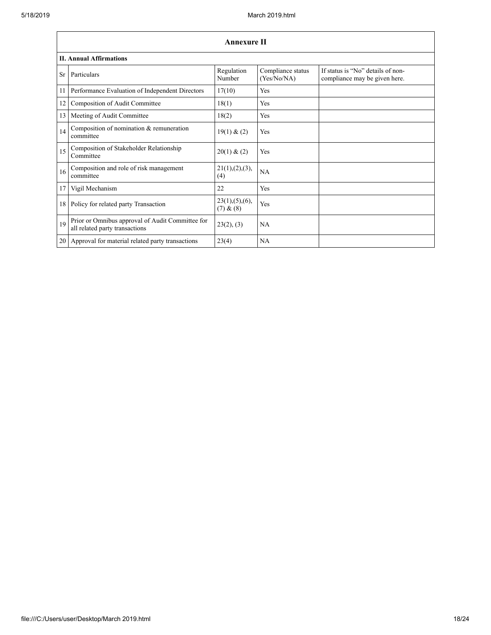$\mathbf{r}$ 

|           | <b>Annexure II</b>                                                                 |                               |                                  |                                                                    |  |  |
|-----------|------------------------------------------------------------------------------------|-------------------------------|----------------------------------|--------------------------------------------------------------------|--|--|
|           | <b>II. Annual Affirmations</b>                                                     |                               |                                  |                                                                    |  |  |
| <b>Sr</b> | Particulars                                                                        | Regulation<br>Number          | Compliance status<br>(Yes/No/NA) | If status is "No" details of non-<br>compliance may be given here. |  |  |
| 11        | Performance Evaluation of Independent Directors                                    | 17(10)                        | Yes                              |                                                                    |  |  |
| 12        | Composition of Audit Committee                                                     | 18(1)                         | Yes                              |                                                                    |  |  |
| 13        | Meeting of Audit Committee                                                         | 18(2)                         | Yes                              |                                                                    |  |  |
| 14        | Composition of nomination & remuneration<br>committee                              | 19(1) & (2)                   | Yes                              |                                                                    |  |  |
| 15        | Composition of Stakeholder Relationship<br>Committee                               | 20(1) & (2)                   | Yes                              |                                                                    |  |  |
| 16        | Composition and role of risk management<br>committee                               | 21(1), (2), (3),<br>(4)       | <b>NA</b>                        |                                                                    |  |  |
| 17        | Vigil Mechanism                                                                    | 22                            | Yes                              |                                                                    |  |  |
| 18        | Policy for related party Transaction                                               | 23(1), (5), (6),<br>(7) & (8) | Yes                              |                                                                    |  |  |
| 19        | Prior or Omnibus approval of Audit Committee for<br>all related party transactions | 23(2), (3)                    | <b>NA</b>                        |                                                                    |  |  |
| 20        | Approval for material related party transactions                                   | 23(4)                         | <b>NA</b>                        |                                                                    |  |  |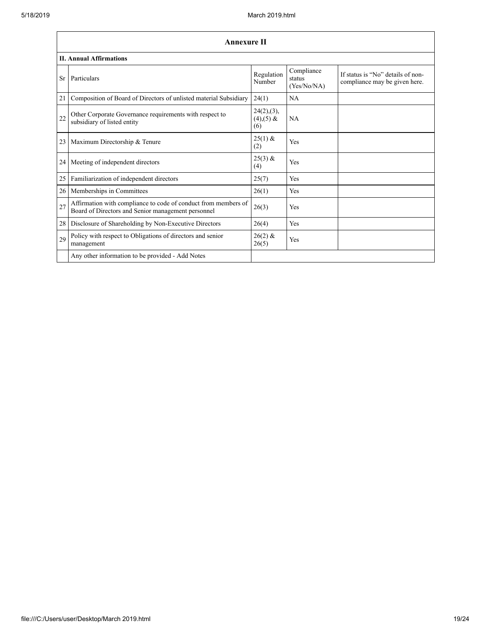$\mathbf{r}$ 

|                 | <b>Annexure II</b>                                                                                                   |                                      |                                     |                                                                    |
|-----------------|----------------------------------------------------------------------------------------------------------------------|--------------------------------------|-------------------------------------|--------------------------------------------------------------------|
|                 | <b>II. Annual Affirmations</b>                                                                                       |                                      |                                     |                                                                    |
| <b>Sr</b>       | Particulars                                                                                                          | Regulation<br>Number                 | Compliance<br>status<br>(Yes/No/NA) | If status is "No" details of non-<br>compliance may be given here. |
| 21              | Composition of Board of Directors of unlisted material Subsidiary                                                    | 24(1)                                | <b>NA</b>                           |                                                                    |
| 22              | Other Corporate Governance requirements with respect to<br>subsidiary of listed entity                               | 24(2),(3),<br>$(4)$ , $(5)$ &<br>(6) | NA                                  |                                                                    |
| 23              | Maximum Directorship & Tenure                                                                                        | $25(1)$ &<br>(2)                     | Yes                                 |                                                                    |
| 24 <sub>1</sub> | Meeting of independent directors                                                                                     | $25(3)$ &<br>(4)                     | Yes                                 |                                                                    |
| 25              | Familiarization of independent directors                                                                             | 25(7)                                | Yes                                 |                                                                    |
| 26              | Memberships in Committees                                                                                            | 26(1)                                | Yes                                 |                                                                    |
| 27              | Affirmation with compliance to code of conduct from members of<br>Board of Directors and Senior management personnel | 26(3)                                | Yes                                 |                                                                    |
| 28              | Disclosure of Shareholding by Non-Executive Directors                                                                | 26(4)                                | Yes                                 |                                                                    |
| 29              | Policy with respect to Obligations of directors and senior<br>management                                             | $26(2)$ &<br>26(5)                   | Yes                                 |                                                                    |
|                 | Any other information to be provided - Add Notes                                                                     |                                      |                                     |                                                                    |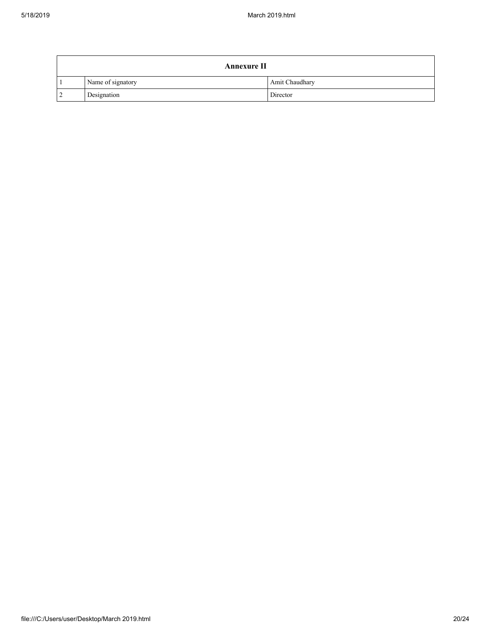| <b>Annexure II</b> |                   |                |  |
|--------------------|-------------------|----------------|--|
|                    | Name of signatory | Amit Chaudhary |  |
| $^{\circ}2$        | Designation       | Director       |  |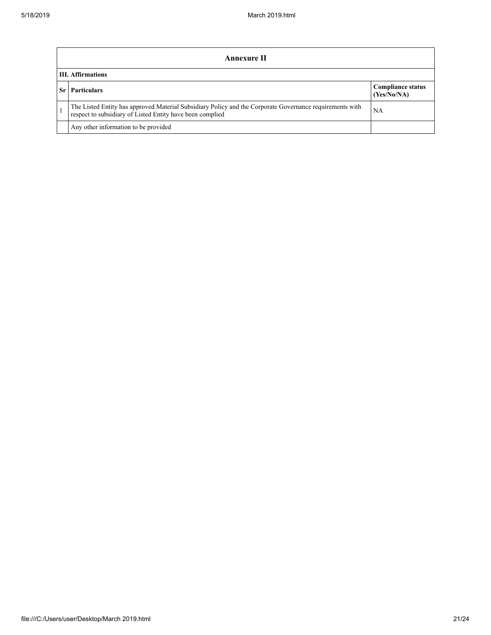| Annexure II                                                                                                                                                           |                                         |  |  |
|-----------------------------------------------------------------------------------------------------------------------------------------------------------------------|-----------------------------------------|--|--|
| <b>III.</b> Affirmations                                                                                                                                              |                                         |  |  |
| <b>Particulars</b>                                                                                                                                                    | <b>Compliance status</b><br>(Yes/No/NA) |  |  |
| The Listed Entity has approved Material Subsidiary Policy and the Corporate Governance requirements with<br>respect to subsidiary of Listed Entity have been complied | NA                                      |  |  |
| Any other information to be provided                                                                                                                                  |                                         |  |  |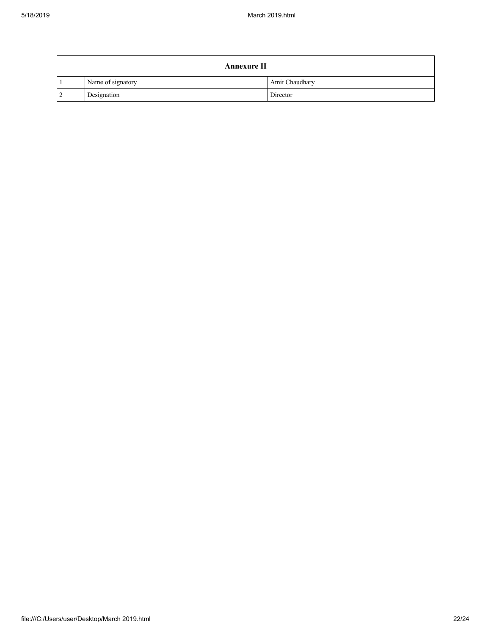| <b>Annexure II</b> |                   |                |  |
|--------------------|-------------------|----------------|--|
|                    | Name of signatory | Amit Chaudhary |  |
| $^{\circ}2$        | Designation       | Director       |  |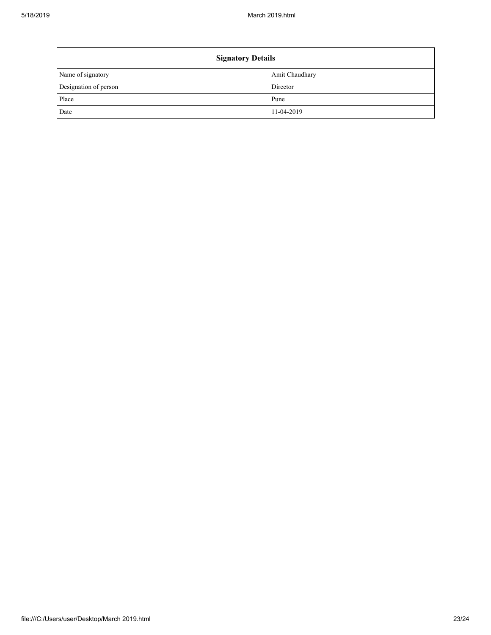| <b>Signatory Details</b> |                |  |  |
|--------------------------|----------------|--|--|
| Name of signatory        | Amit Chaudhary |  |  |
| Designation of person    | Director       |  |  |
| Place                    | Pune           |  |  |
| Date                     | 11-04-2019     |  |  |